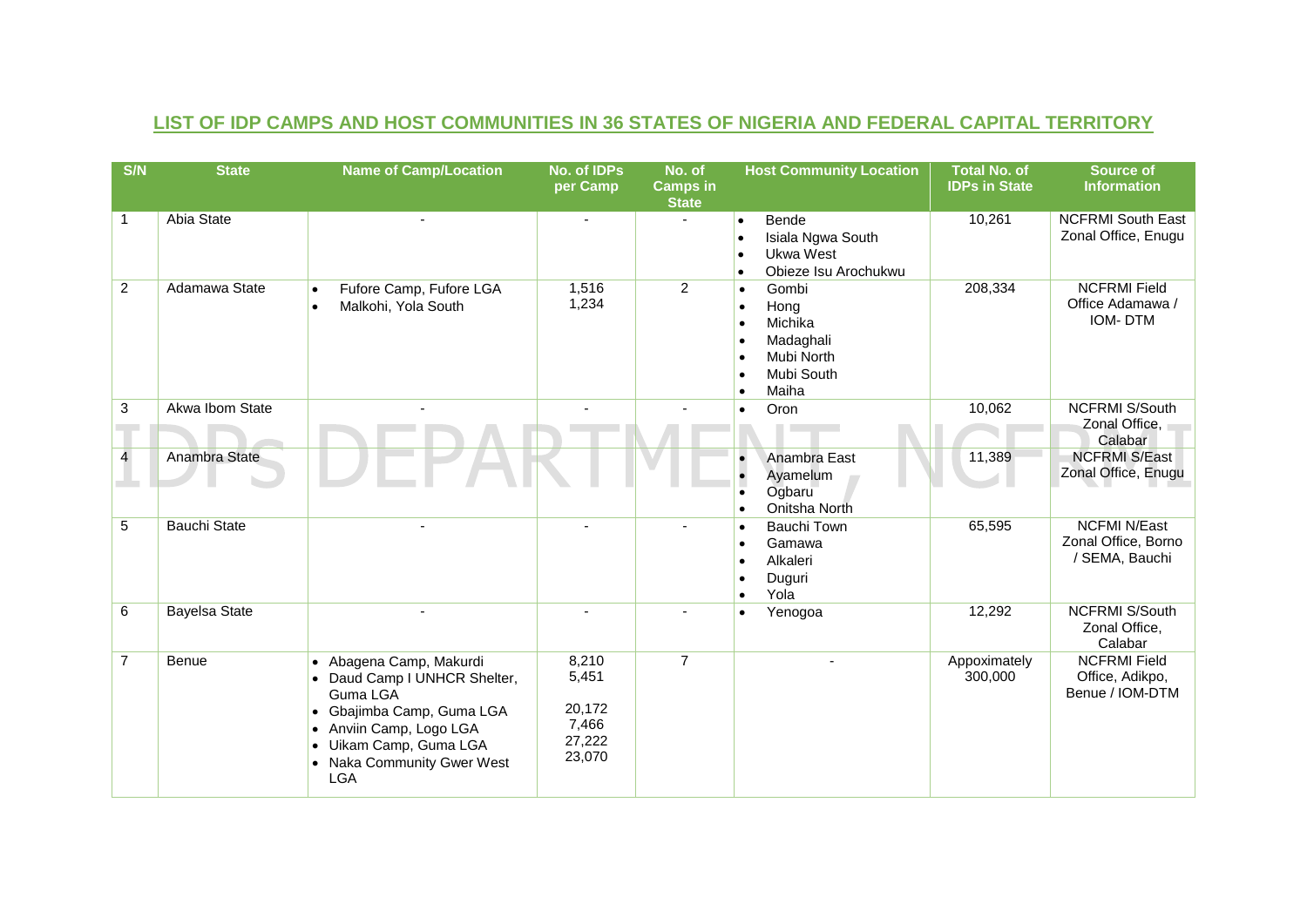| S/N            | <b>State</b>         | <b>Name of Camp/Location</b>                                                                                                                                                                  | No. of IDPs<br>per Camp                               | No. of<br><b>Camps in</b><br><b>State</b> | <b>Host Community Location</b>                                                                                                                                        | <b>Total No. of</b><br><b>IDPs in State</b> | <b>Source of</b><br><b>Information</b>                       |
|----------------|----------------------|-----------------------------------------------------------------------------------------------------------------------------------------------------------------------------------------------|-------------------------------------------------------|-------------------------------------------|-----------------------------------------------------------------------------------------------------------------------------------------------------------------------|---------------------------------------------|--------------------------------------------------------------|
| $\mathbf{1}$   | <b>Abia State</b>    |                                                                                                                                                                                               |                                                       |                                           | Bende<br>$\bullet$<br>Isiala Ngwa South<br>$\bullet$<br>Ukwa West<br>$\bullet$<br>Obieze Isu Arochukwu<br>$\bullet$                                                   | 10,261                                      | <b>NCFRMI South East</b><br>Zonal Office, Enugu              |
| $\overline{2}$ | Adamawa State        | Fufore Camp, Fufore LGA<br>Malkohi, Yola South                                                                                                                                                | 1,516<br>1,234                                        | $\overline{2}$                            | Gombi<br>$\bullet$<br>Hong<br>$\bullet$<br>Michika<br>$\bullet$<br>Madaghali<br>$\bullet$<br>Mubi North<br>$\bullet$<br>Mubi South<br>$\bullet$<br>Maiha<br>$\bullet$ | 208,334                                     | <b>NCFRMI Field</b><br>Office Adamawa /<br><b>IOM-DTM</b>    |
| $\mathbf{3}$   | Akwa Ibom State      |                                                                                                                                                                                               |                                                       |                                           | Oron<br>$\bullet$                                                                                                                                                     | 10,062                                      | <b>NCFRMI S/South</b><br>Zonal Office,<br>Calabar            |
| $\overline{4}$ | Anambra State        |                                                                                                                                                                                               |                                                       |                                           | Anambra East<br>Ayamelum<br>$\bullet$<br>Ogbaru<br>$\bullet$<br>Onitsha North<br>$\bullet$                                                                            | 11,389                                      | <b>NCFRMI S/East</b><br>Zonal Office, Enugu                  |
| $\overline{5}$ | <b>Bauchi State</b>  |                                                                                                                                                                                               |                                                       |                                           | <b>Bauchi Town</b><br>$\bullet$<br>Gamawa<br>$\bullet$<br>Alkaleri<br>$\bullet$<br>Duguri<br>$\bullet$<br>Yola<br>$\bullet$                                           | 65,595                                      | <b>NCFMI N/East</b><br>Zonal Office, Borno<br>/ SEMA, Bauchi |
| 6              | <b>Bayelsa State</b> |                                                                                                                                                                                               |                                                       |                                           | Yenogoa<br>$\bullet$                                                                                                                                                  | 12,292                                      | <b>NCFRMI S/South</b><br>Zonal Office,<br>Calabar            |
| $\overline{7}$ | <b>Benue</b>         | • Abagena Camp, Makurdi<br>• Daud Camp I UNHCR Shelter,<br>Guma LGA<br>Gbajimba Camp, Guma LGA<br>Anviin Camp, Logo LGA<br>· Uikam Camp, Guma LGA<br>• Naka Community Gwer West<br><b>LGA</b> | 8,210<br>5,451<br>20,172<br>7,466<br>27,222<br>23,070 | $\overline{7}$                            |                                                                                                                                                                       | Appoximately<br>300,000                     | <b>NCFRMI Field</b><br>Office, Adikpo,<br>Benue / IOM-DTM    |

## **LIST OF IDP CAMPS AND HOST COMMUNITIES IN 36 STATES OF NIGERIA AND FEDERAL CAPITAL TERRITORY**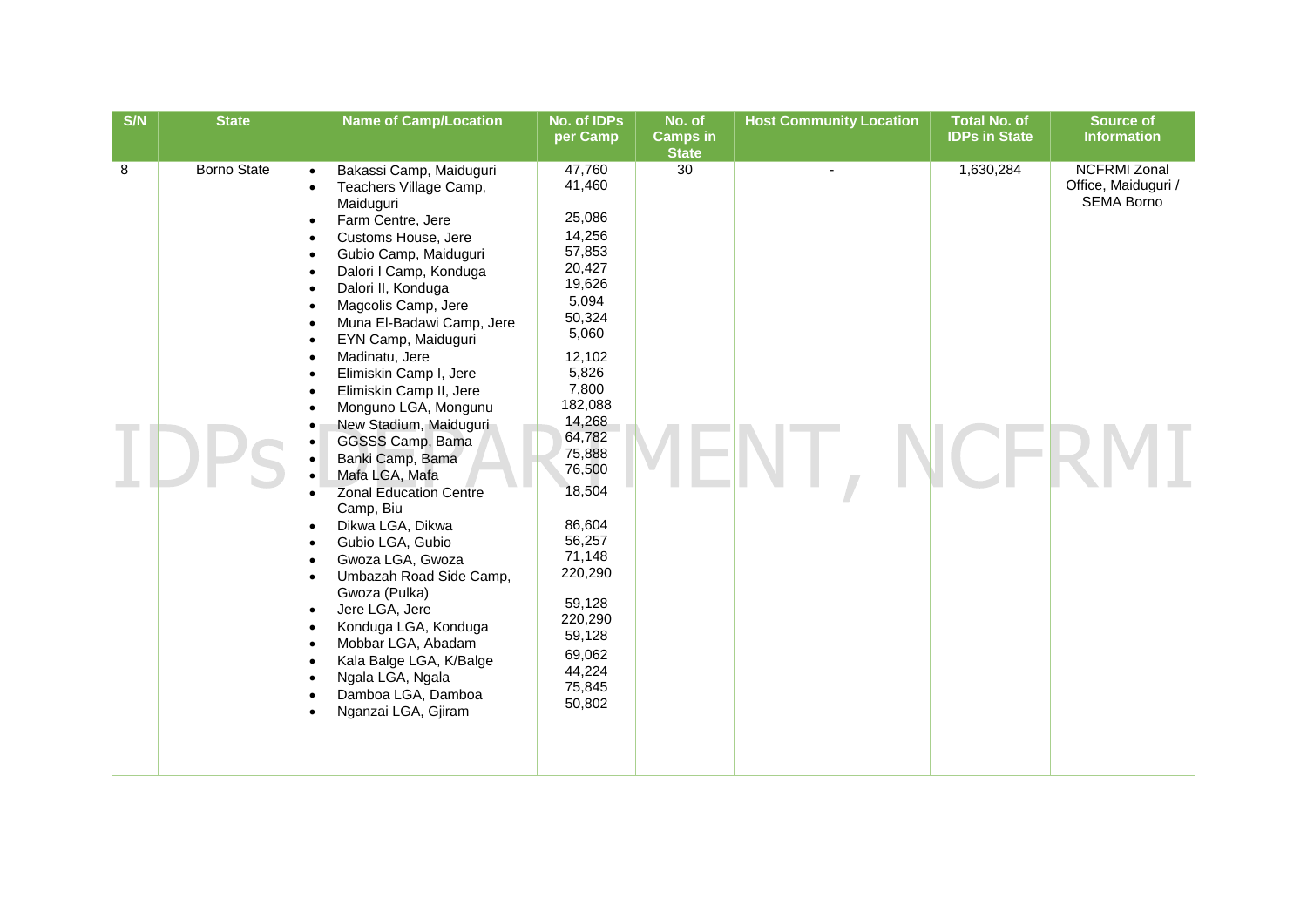| S/N | <b>State</b>       | <b>Name of Camp/Location</b>                                                                                                                                                                                                                                                                                                                                                                                                                                                                                                                                                                                                                                                                                                                                        | No. of IDPs<br>per Camp                                                                                                                                                                                                                                                                                 | No. of<br><b>Camps in</b> | <b>Host Community Location</b> | <b>Total No. of</b><br><b>IDPs in State</b> | <b>Source of</b><br><b>Information</b>                          |
|-----|--------------------|---------------------------------------------------------------------------------------------------------------------------------------------------------------------------------------------------------------------------------------------------------------------------------------------------------------------------------------------------------------------------------------------------------------------------------------------------------------------------------------------------------------------------------------------------------------------------------------------------------------------------------------------------------------------------------------------------------------------------------------------------------------------|---------------------------------------------------------------------------------------------------------------------------------------------------------------------------------------------------------------------------------------------------------------------------------------------------------|---------------------------|--------------------------------|---------------------------------------------|-----------------------------------------------------------------|
|     |                    |                                                                                                                                                                                                                                                                                                                                                                                                                                                                                                                                                                                                                                                                                                                                                                     |                                                                                                                                                                                                                                                                                                         | <b>State</b>              |                                |                                             |                                                                 |
| 8   | <b>Borno State</b> | Bakassi Camp, Maiduguri<br>Teachers Village Camp,<br>Maiduguri<br>Farm Centre, Jere<br>Customs House, Jere<br>Gubio Camp, Maiduguri<br>Dalori I Camp, Konduga<br>Dalori II, Konduga<br>Magcolis Camp, Jere<br>Muna El-Badawi Camp, Jere<br>EYN Camp, Maiduguri<br>Madinatu, Jere<br>Elimiskin Camp I, Jere<br>Elimiskin Camp II, Jere<br>Monguno LGA, Mongunu<br>New Stadium, Maiduguri<br>GGSSS Camp, Bama<br>Banki Camp, Bama<br>Mafa LGA, Mafa<br><b>Zonal Education Centre</b><br>Camp, Biu<br>Dikwa LGA, Dikwa<br>Gubio LGA, Gubio<br>Gwoza LGA, Gwoza<br>Umbazah Road Side Camp,<br>Gwoza (Pulka)<br>Jere LGA, Jere<br>Konduga LGA, Konduga<br>Mobbar LGA, Abadam<br>Kala Balge LGA, K/Balge<br>Ngala LGA, Ngala<br>Damboa LGA, Damboa<br>Nganzai LGA, Gjiram | 47,760<br>41,460<br>25,086<br>14,256<br>57,853<br>20,427<br>19,626<br>5,094<br>50,324<br>5,060<br>12,102<br>5,826<br>7,800<br>182,088<br>14,268<br>64,782<br>75,888<br>76,500<br>18,504<br>86,604<br>56,257<br>71,148<br>220,290<br>59,128<br>220,290<br>59,128<br>69,062<br>44,224<br>75,845<br>50,802 | 30                        |                                | 1,630,284                                   | <b>NCFRMI Zonal</b><br>Office, Maiduguri /<br><b>SEMA Borno</b> |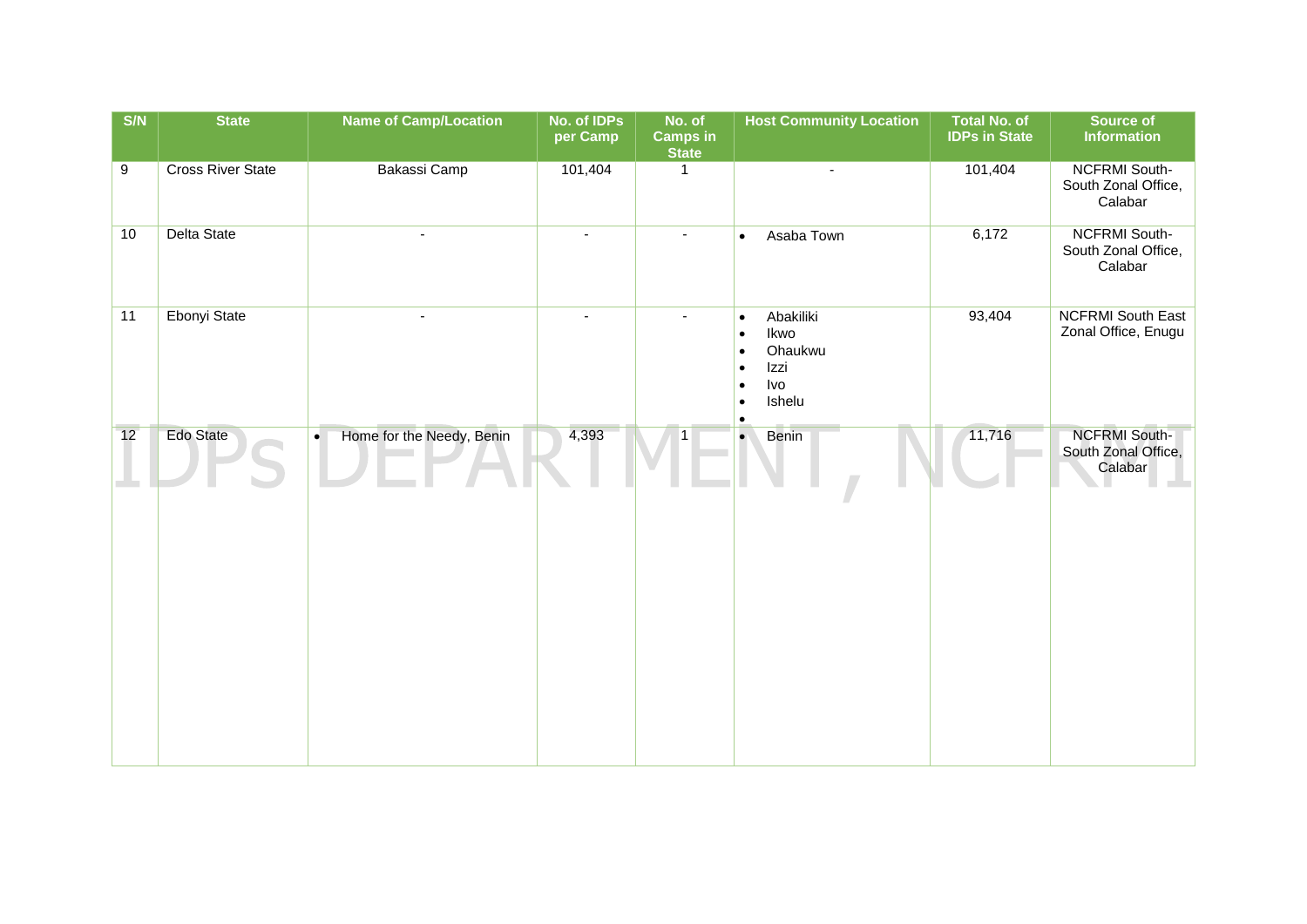| S/N | <b>State</b>             | <b>Name of Camp/Location</b>           | No. of IDPs<br>per Camp | No. of<br><b>Camps in</b><br><b>State</b> | <b>Host Community Location</b>                                                                                                                   | <b>Total No. of</b><br><b>IDPs in State</b> | Source of<br><b>Information</b>                        |
|-----|--------------------------|----------------------------------------|-------------------------|-------------------------------------------|--------------------------------------------------------------------------------------------------------------------------------------------------|---------------------------------------------|--------------------------------------------------------|
| 9   | <b>Cross River State</b> | Bakassi Camp                           | 101,404                 | $\mathbf{1}$                              | $\blacksquare$                                                                                                                                   | 101,404                                     | <b>NCFRMI South-</b><br>South Zonal Office,<br>Calabar |
| 10  | <b>Delta State</b>       | ä,                                     |                         |                                           | Asaba Town<br>$\bullet$                                                                                                                          | 6,172                                       | <b>NCFRMI South-</b><br>South Zonal Office,<br>Calabar |
| 11  | Ebonyi State             | ÷                                      | $\sim$                  |                                           | Abakiliki<br>$\bullet$<br>Ikwo<br>$\bullet$<br>Ohaukwu<br>$\bullet$<br>Izzi<br>$\bullet$<br>Ivo<br>$\bullet$<br>Ishelu<br>$\bullet$<br>$\bullet$ | 93,404                                      | <b>NCFRMI South East</b><br>Zonal Office, Enugu        |
| 12  | <b>Edo State</b>         | Home for the Needy, Benin<br>$\bullet$ | 4,393                   | 1                                         | Benin<br>$\bullet$                                                                                                                               | 11,716                                      | <b>NCFRMI South-</b><br>South Zonal Office,<br>Calabar |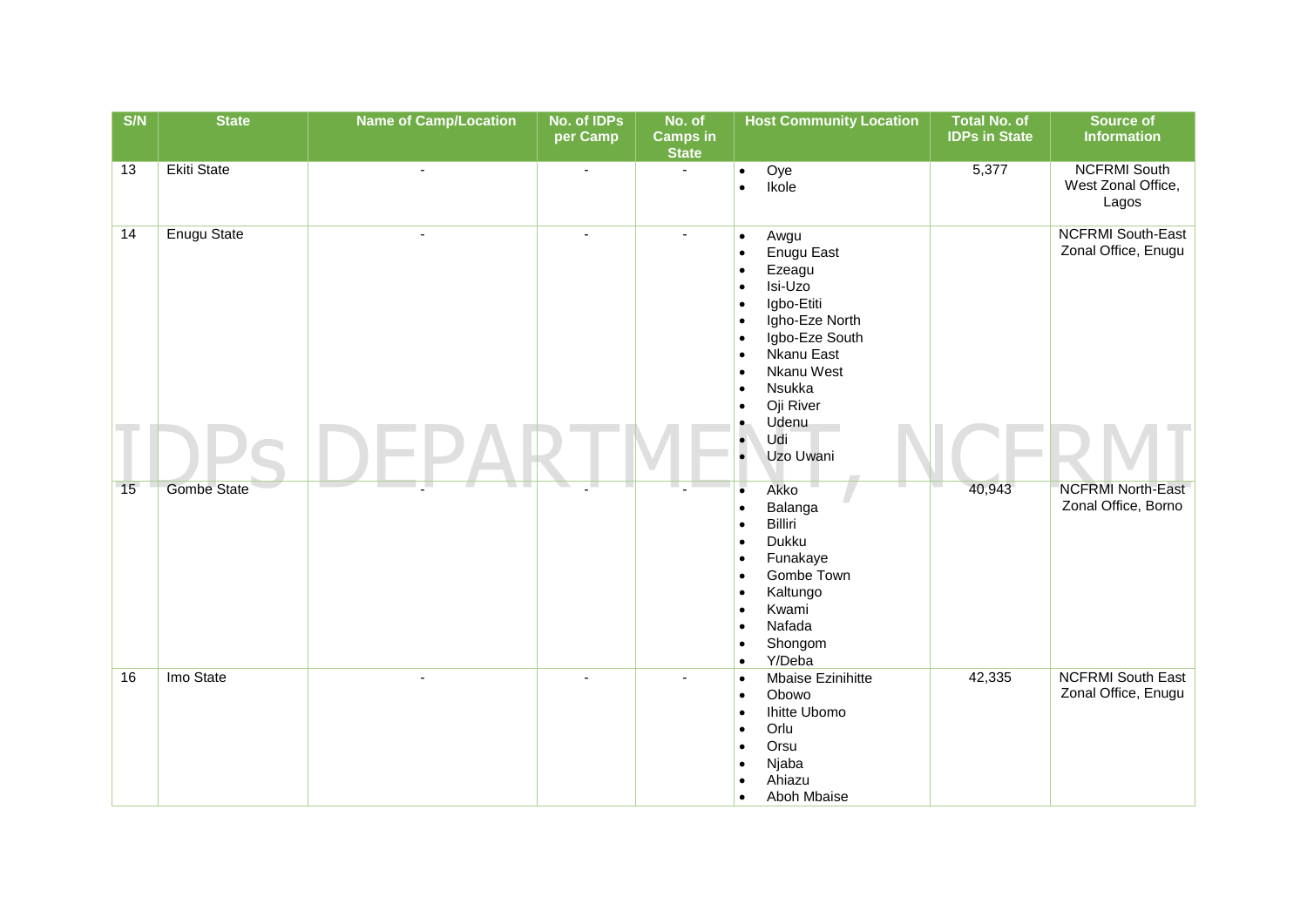| $\overline{\text{S/N}}$ | <b>State</b>       | <b>Name of Camp/Location</b> | No. of IDPs<br>per Camp | No. of<br><b>Camps in</b><br><b>State</b> | <b>Host Community Location</b>                                                                                                                                                                                                                                                                                                                     | <b>Total No. of</b><br><b>IDPs in State</b> | Source of<br><b>Information</b>                    |
|-------------------------|--------------------|------------------------------|-------------------------|-------------------------------------------|----------------------------------------------------------------------------------------------------------------------------------------------------------------------------------------------------------------------------------------------------------------------------------------------------------------------------------------------------|---------------------------------------------|----------------------------------------------------|
| 13                      | <b>Ekiti State</b> | $\blacksquare$               | $\blacksquare$          | $\sim$                                    | Oye<br>$\bullet$<br>Ikole<br>$\bullet$                                                                                                                                                                                                                                                                                                             | 5,377                                       | <b>NCFRMI South</b><br>West Zonal Office,<br>Lagos |
| 14                      | <b>Enugu State</b> | $\overline{a}$               | $\blacksquare$          | $\sim$                                    | Awgu<br>$\bullet$<br>Enugu East<br>$\bullet$<br>Ezeagu<br>$\bullet$<br>Isi-Uzo<br>$\bullet$<br>Igbo-Etiti<br>$\bullet$<br>Igho-Eze North<br>$\bullet$<br>Igbo-Eze South<br>$\bullet$<br>Nkanu East<br>$\bullet$<br>Nkanu West<br>$\bullet$<br>Nsukka<br>$\bullet$<br>Oji River<br>$\bullet$<br>Udenu<br>$\bullet$<br>Udi<br>$\bullet$<br>Uzo Uwani |                                             | <b>NCFRMI South-East</b><br>Zonal Office, Enugu    |
| 15                      | <b>Gombe State</b> |                              |                         |                                           | $\bullet$<br>Akko<br>Balanga<br>$\bullet$<br>Billiri<br>$\bullet$<br>Dukku<br>$\bullet$<br>Funakaye<br>$\bullet$<br>Gombe Town<br>$\bullet$<br>Kaltungo<br>$\bullet$<br>Kwami<br>$\bullet$<br>Nafada<br>$\bullet$<br>Shongom<br>$\bullet$<br>Y/Deba<br>$\bullet$                                                                                   | 40,943                                      | <b>NCFRMI North-East</b><br>Zonal Office, Borno    |
| 16                      | Imo State          |                              |                         |                                           | Mbaise Ezinihitte<br>$\bullet$<br>Obowo<br>$\bullet$<br>Ihitte Ubomo<br>$\bullet$<br>Orlu<br>$\bullet$<br>Orsu<br>$\bullet$<br>Njaba<br>$\bullet$<br>Ahiazu<br>$\bullet$<br>Aboh Mbaise<br>$\bullet$                                                                                                                                               | 42,335                                      | <b>NCFRMI South East</b><br>Zonal Office, Enugu    |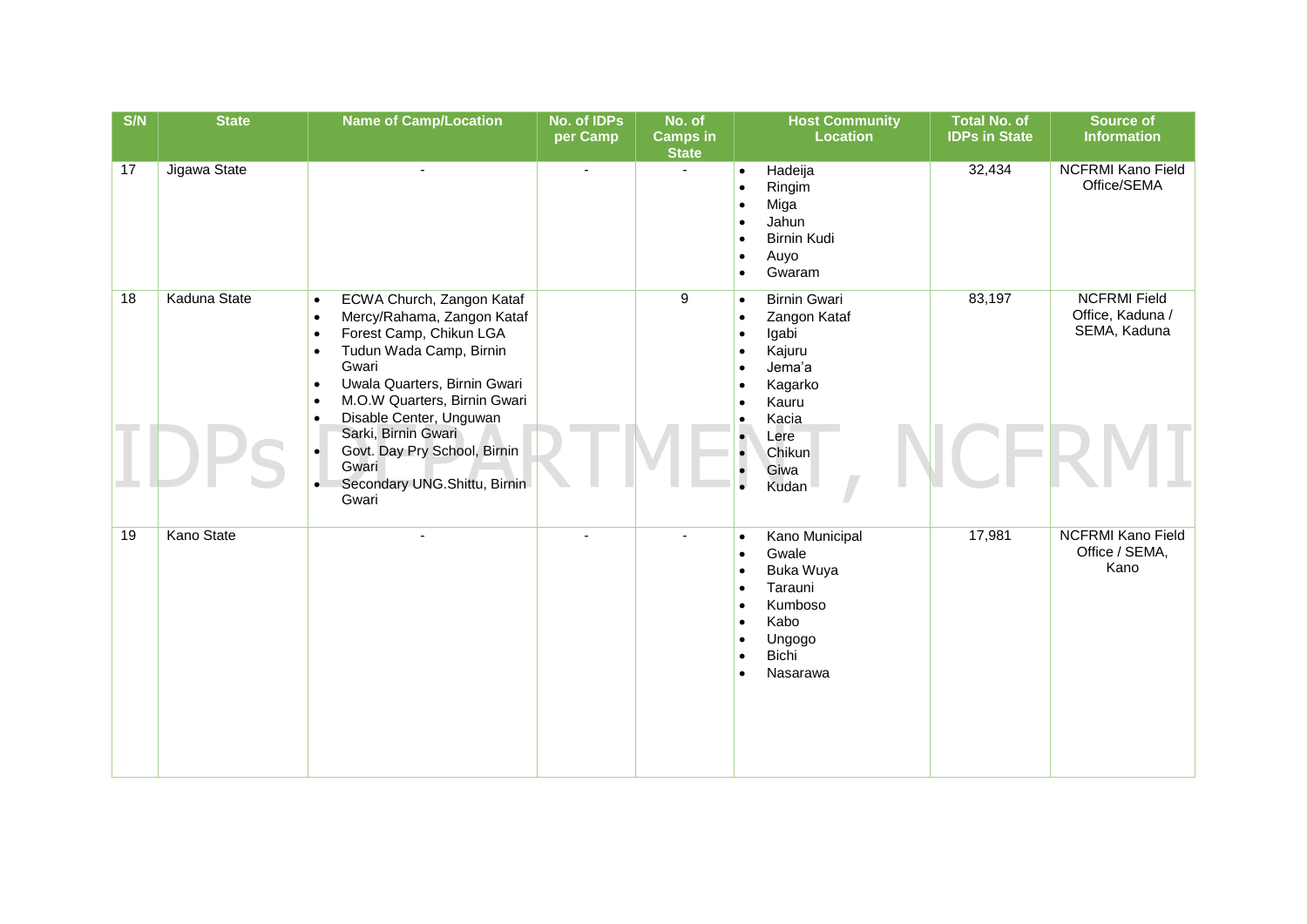| S/N | <b>State</b>      | <b>Name of Camp/Location</b>                                                                                                                                                                                                                                                       | No. of IDPs<br>per Camp | No. of<br><b>Camps in</b><br><b>State</b> | <b>Host Community</b><br><b>Location</b>                                                                                                                                                                               | <b>Total No. of</b><br><b>IDPs in State</b> | <b>Source of</b><br><b>Information</b>                  |
|-----|-------------------|------------------------------------------------------------------------------------------------------------------------------------------------------------------------------------------------------------------------------------------------------------------------------------|-------------------------|-------------------------------------------|------------------------------------------------------------------------------------------------------------------------------------------------------------------------------------------------------------------------|---------------------------------------------|---------------------------------------------------------|
| 17  | Jigawa State      | $\overline{a}$                                                                                                                                                                                                                                                                     | $\sim$                  | $\mathbf{r}$                              | Hadeija<br>$\bullet$<br>Ringim<br>$\bullet$<br>Miga<br>$\bullet$<br>Jahun<br>$\bullet$<br>Birnin Kudi<br>$\bullet$<br>Auyo<br>$\bullet$<br>Gwaram<br>$\bullet$                                                         | 32,434                                      | <b>NCFRMI Kano Field</b><br>Office/SEMA                 |
| 18  | Kaduna State      | ECWA Church, Zangon Kataf<br>$\bullet$<br>Mercy/Rahama, Zangon Kataf<br>$\bullet$<br>Forest Camp, Chikun LGA<br>$\bullet$<br>Tudun Wada Camp, Birnin<br>$\bullet$<br>Gwari<br>Uwala Quarters, Birnin Gwari<br>$\bullet$<br>M.O.W Quarters, Birnin Gwari<br>Disable Center, Unguwan |                         | 9                                         | <b>Birnin Gwari</b><br>$\bullet$<br>Zangon Kataf<br>$\bullet$<br>Igabi<br>$\bullet$<br>Kajuru<br>$\bullet$<br>Jema'a<br>$\bullet$<br>Kagarko<br>$\bullet$<br>Kauru<br>$\bullet$<br>Kacia<br>$\bullet$                  | 83,197                                      | <b>NCFRMI Field</b><br>Office, Kaduna /<br>SEMA, Kaduna |
|     |                   | Sarki, Birnin Gwari<br>Govt. Day Pry School, Birnin<br>$\bullet$<br>Gwari<br>Secondary UNG.Shittu, Birnin<br>Gwari                                                                                                                                                                 |                         |                                           | $\cdot$<br>Lere<br>Chikun<br>$\bullet$<br>Giwa<br>Kudan                                                                                                                                                                |                                             |                                                         |
| 19  | <b>Kano State</b> |                                                                                                                                                                                                                                                                                    |                         |                                           | Kano Municipal<br>$\bullet$<br>Gwale<br>$\bullet$<br>Buka Wuya<br>$\bullet$<br>Tarauni<br>$\bullet$<br>Kumboso<br>$\bullet$<br>Kabo<br>$\bullet$<br>Ungogo<br>$\bullet$<br>Bichi<br>$\bullet$<br>Nasarawa<br>$\bullet$ | 17,981                                      | <b>NCFRMI Kano Field</b><br>Office / SEMA,<br>Kano      |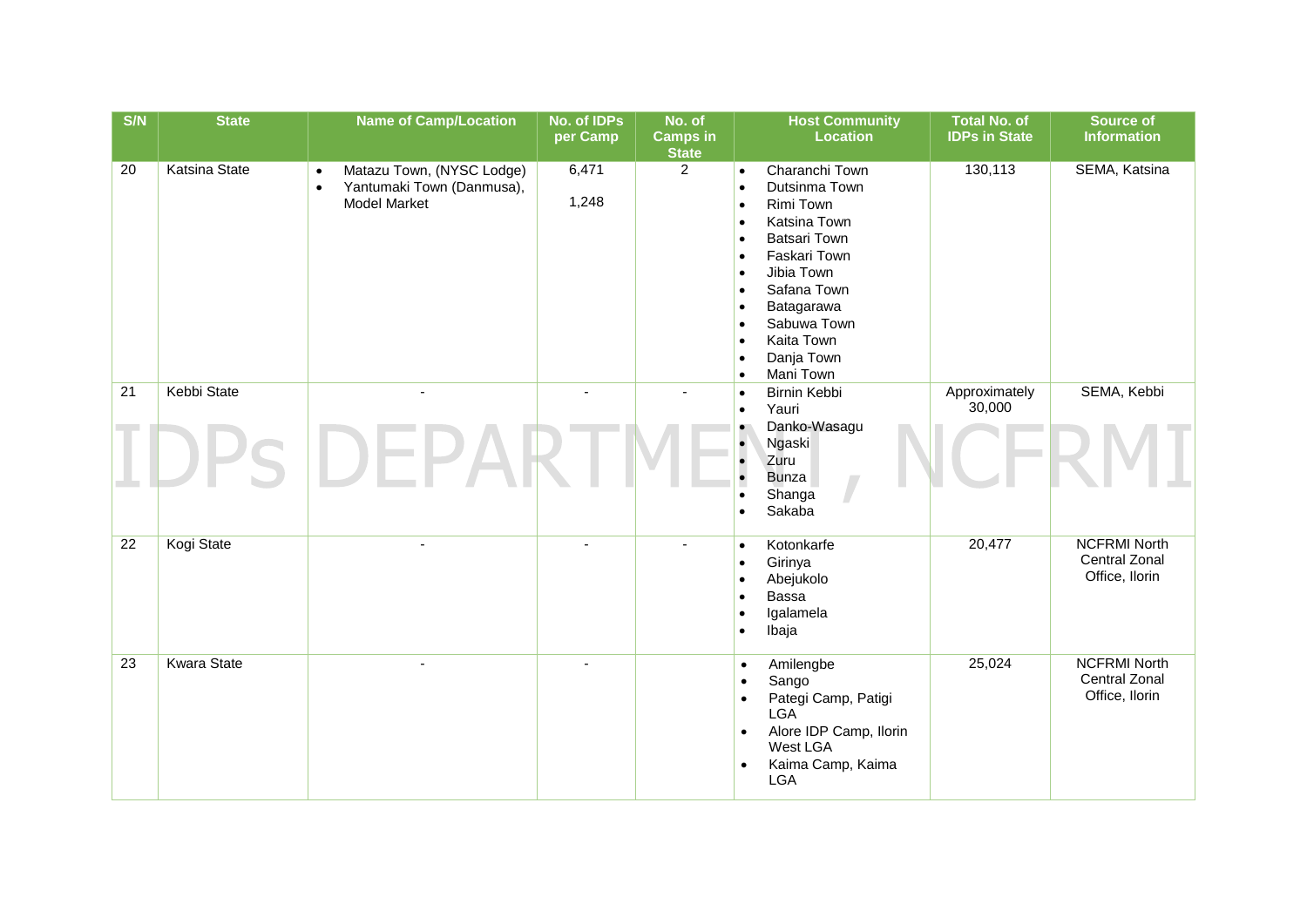| S/N | <b>State</b>         | <b>Name of Camp/Location</b>                                                                            | No. of IDPs<br>per Camp | No. of<br><b>Camps in</b><br><b>State</b> | <b>Host Community</b><br><b>Location</b>                                                                                                                                                                                                                                                                                                                                        | <b>Total No. of</b><br><b>IDPs in State</b> | <b>Source of</b><br><b>Information</b>                        |
|-----|----------------------|---------------------------------------------------------------------------------------------------------|-------------------------|-------------------------------------------|---------------------------------------------------------------------------------------------------------------------------------------------------------------------------------------------------------------------------------------------------------------------------------------------------------------------------------------------------------------------------------|---------------------------------------------|---------------------------------------------------------------|
| 20  | <b>Katsina State</b> | Matazu Town, (NYSC Lodge)<br>$\bullet$<br>Yantumaki Town (Danmusa),<br>$\bullet$<br><b>Model Market</b> | 6,471<br>1,248          | $\overline{2}$                            | Charanchi Town<br>$\bullet$<br>Dutsinma Town<br>$\bullet$<br>Rimi Town<br>$\bullet$<br>Katsina Town<br>$\bullet$<br><b>Batsari Town</b><br>$\bullet$<br>Faskari Town<br>$\bullet$<br>Jibia Town<br>$\bullet$<br>Safana Town<br>$\bullet$<br>Batagarawa<br>$\bullet$<br>Sabuwa Town<br>$\bullet$<br>Kaita Town<br>$\bullet$<br>Danja Town<br>$\bullet$<br>Mani Town<br>$\bullet$ | 130,113                                     | SEMA, Katsina                                                 |
| 21  | <b>Kebbi State</b>   | $\overline{\phantom{a}}$                                                                                | $\sim$                  | ÷,                                        | Birnin Kebbi<br>$\bullet$<br>Yauri<br>$\bullet$<br>Danko-Wasagu<br>$\bullet$                                                                                                                                                                                                                                                                                                    | Approximately<br>30,000                     | SEMA, Kebbi                                                   |
|     |                      |                                                                                                         |                         |                                           | Ngaski<br>$\bullet$<br>Zuru<br><b>Bunza</b><br>Shanga<br>$\bullet$<br>Sakaba                                                                                                                                                                                                                                                                                                    |                                             |                                                               |
| 22  | Kogi State           |                                                                                                         |                         |                                           | Kotonkarfe<br>$\bullet$<br>Girinya<br>$\bullet$<br>Abejukolo<br>$\bullet$<br>Bassa<br>$\bullet$<br>Igalamela<br>Ibaja<br>$\bullet$                                                                                                                                                                                                                                              | 20,477                                      | <b>NCFRMI North</b><br>Central Zonal<br>Office, Ilorin        |
| 23  | <b>Kwara State</b>   |                                                                                                         |                         |                                           | Amilengbe<br>$\bullet$<br>Sango<br>$\bullet$<br>Pategi Camp, Patigi<br>$\bullet$<br><b>LGA</b><br>Alore IDP Camp, Ilorin<br>$\bullet$<br>West LGA<br>Kaima Camp, Kaima<br>$\bullet$<br><b>LGA</b>                                                                                                                                                                               | 25,024                                      | <b>NCFRMI North</b><br><b>Central Zonal</b><br>Office, Ilorin |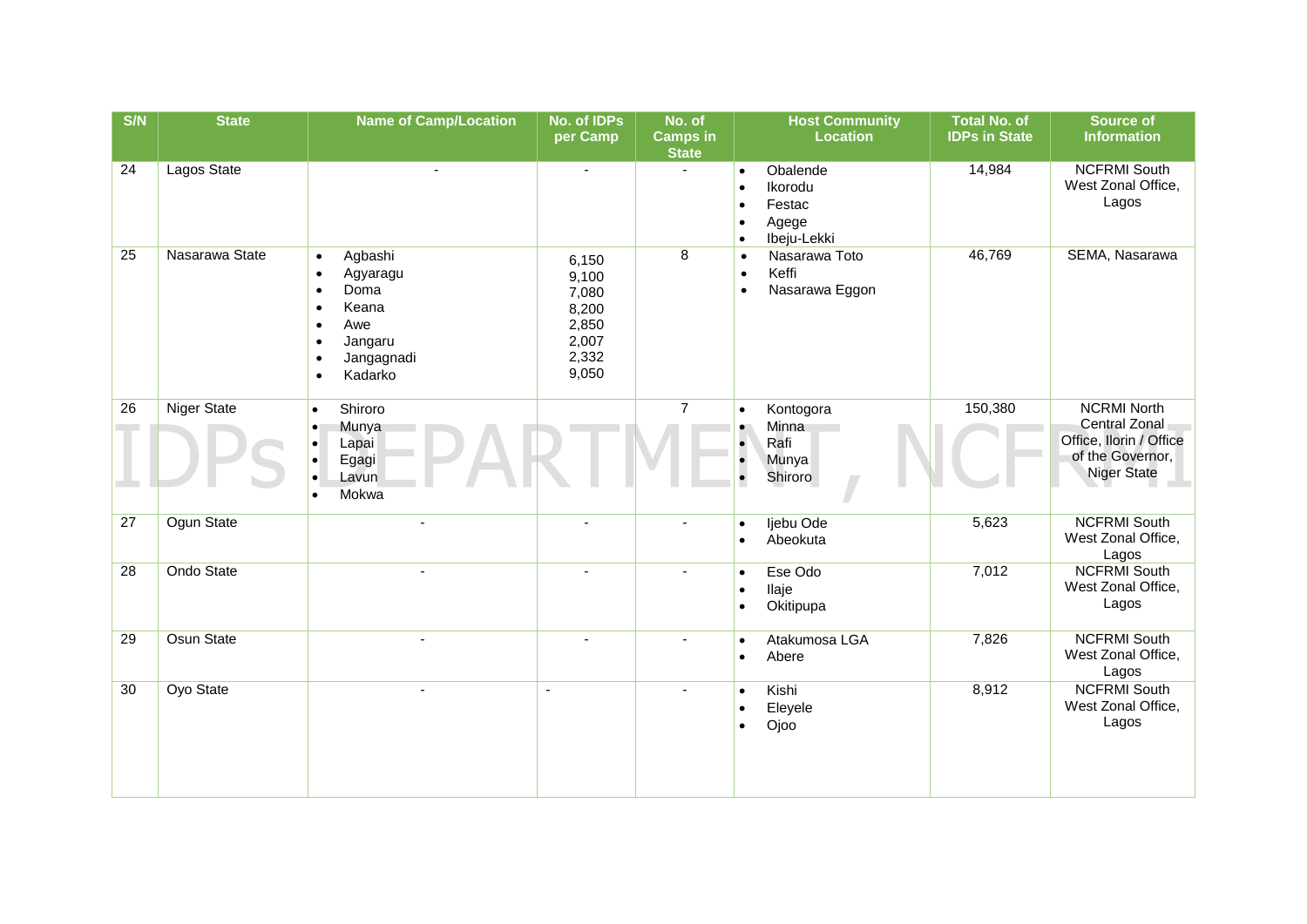| S/N | <b>State</b>       | <b>Name of Camp/Location</b>                                                                                                                                                            | No. of IDPs<br>per Camp                                              | No. of<br><b>Camps in</b><br><b>State</b> | <b>Host Community</b><br><b>Location</b>                                                                               | <b>Total No. of</b><br><b>IDPs in State</b> | Source of<br><b>Information</b>                                                                                 |
|-----|--------------------|-----------------------------------------------------------------------------------------------------------------------------------------------------------------------------------------|----------------------------------------------------------------------|-------------------------------------------|------------------------------------------------------------------------------------------------------------------------|---------------------------------------------|-----------------------------------------------------------------------------------------------------------------|
| 24  | Lagos State        | $\tilde{\phantom{a}}$                                                                                                                                                                   | $\sim$                                                               | $\sim$                                    | Obalende<br>$\bullet$<br>Ikorodu<br>$\bullet$<br>Festac<br>$\bullet$<br>Agege<br>$\bullet$<br>Ibeju-Lekki<br>$\bullet$ | 14,984                                      | <b>NCFRMI South</b><br>West Zonal Office,<br>Lagos                                                              |
| 25  | Nasarawa State     | Agbashi<br>$\bullet$<br>Agyaragu<br>$\bullet$<br>Doma<br>$\bullet$<br>Keana<br>$\bullet$<br>Awe<br>$\bullet$<br>Jangaru<br>$\bullet$<br>Jangagnadi<br>$\bullet$<br>Kadarko<br>$\bullet$ | 6,150<br>9,100<br>7,080<br>8,200<br>2,850<br>2,007<br>2,332<br>9,050 | 8                                         | Nasarawa Toto<br>$\bullet$<br>Keffi<br>$\bullet$<br>Nasarawa Eggon<br>$\bullet$                                        | 46,769                                      | SEMA, Nasarawa                                                                                                  |
| 26  | <b>Niger State</b> | Shiroro<br>$\bullet$<br>Munya<br>$\bullet$<br>Lapai<br>Egagi<br>Lavun<br>Mokwa                                                                                                          |                                                                      | $\overline{7}$                            | Kontogora<br>$\bullet$<br>Minna<br>Rafi<br>$\bullet$<br>Munya<br>Shiroro<br>$\bullet$                                  | 150,380                                     | <b>NCRMI North</b><br><b>Central Zonal</b><br>Office, Ilorin / Office<br>of the Governor,<br><b>Niger State</b> |
| 27  | Ogun State         |                                                                                                                                                                                         |                                                                      |                                           | Ijebu Ode<br>$\bullet$<br>Abeokuta<br>$\bullet$                                                                        | 5,623                                       | <b>NCFRMI South</b><br>West Zonal Office,<br>Lagos                                                              |
| 28  | Ondo State         |                                                                                                                                                                                         |                                                                      | $\sim$                                    | Ese Odo<br>$\bullet$<br>Ilaje<br>$\bullet$<br>Okitipupa<br>$\bullet$                                                   | 7,012                                       | <b>NCFRMI South</b><br>West Zonal Office,<br>Lagos                                                              |
| 29  | Osun State         |                                                                                                                                                                                         |                                                                      |                                           | Atakumosa LGA<br>$\bullet$<br>Abere<br>$\bullet$                                                                       | 7,826                                       | <b>NCFRMI South</b><br>West Zonal Office,<br>Lagos                                                              |
| 30  | Oyo State          |                                                                                                                                                                                         | $\overline{\phantom{a}}$                                             | $\blacksquare$                            | Kishi<br>$\bullet$<br>Eleyele<br>$\bullet$<br>Ojoo<br>$\bullet$                                                        | 8,912                                       | <b>NCFRMI South</b><br>West Zonal Office,<br>Lagos                                                              |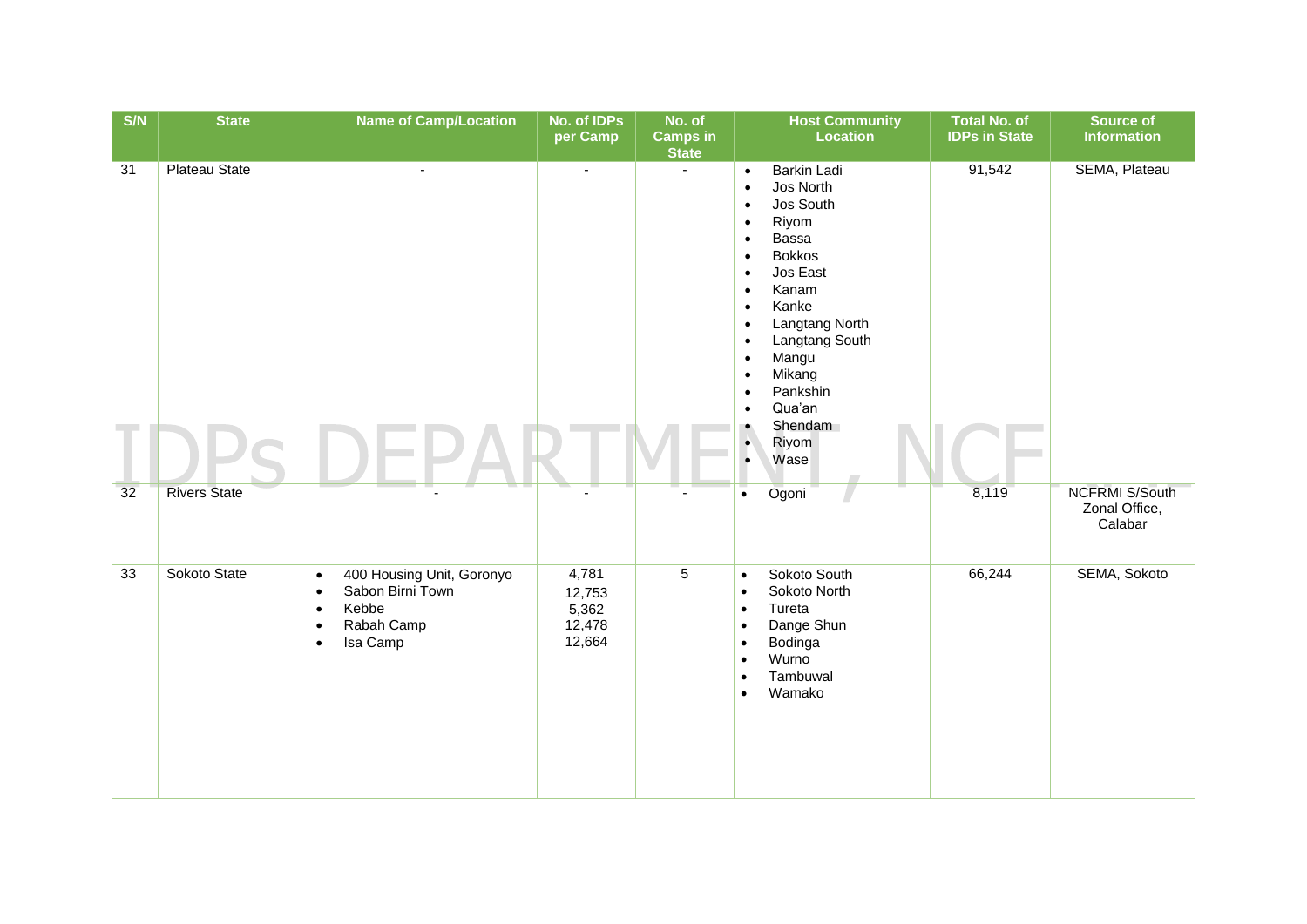| $\overline{\text{S/N}}$ | <b>State</b>         | <b>Name of Camp/Location</b>                                                                                                                      | No. of IDPs<br>per Camp                      | No. of<br>Camps in<br><b>State</b> | <b>Host Community</b><br><b>Location</b>                                                                                                                                                                                                                                                                                                                                                                                                            | <b>Total No. of</b><br><b>IDPs in State</b> | Source of<br><b>Information</b>                   |
|-------------------------|----------------------|---------------------------------------------------------------------------------------------------------------------------------------------------|----------------------------------------------|------------------------------------|-----------------------------------------------------------------------------------------------------------------------------------------------------------------------------------------------------------------------------------------------------------------------------------------------------------------------------------------------------------------------------------------------------------------------------------------------------|---------------------------------------------|---------------------------------------------------|
| 31                      | <b>Plateau State</b> | ä,                                                                                                                                                | $\blacksquare$                               | $\sim$                             | <b>Barkin Ladi</b><br>$\bullet$<br>Jos North<br>$\bullet$<br>Jos South<br>$\bullet$<br>Riyom<br>$\bullet$<br>Bassa<br>$\bullet$<br><b>Bokkos</b><br>$\bullet$<br>Jos East<br>$\bullet$<br>Kanam<br>$\bullet$<br>Kanke<br>$\bullet$<br>Langtang North<br>$\bullet$<br>Langtang South<br>$\bullet$<br>Mangu<br>$\bullet$<br>Mikang<br>$\bullet$<br>Pankshin<br>$\bullet$<br>Qua'an<br>$\bullet$<br>Shendam<br>Riyom<br>$\bullet$<br>Wase<br>$\bullet$ | 91,542                                      | SEMA, Plateau                                     |
| 32                      | <b>Rivers State</b>  |                                                                                                                                                   |                                              |                                    | Ogoni<br>$\bullet$                                                                                                                                                                                                                                                                                                                                                                                                                                  | 8,119                                       | <b>NCFRMI S/South</b><br>Zonal Office,<br>Calabar |
| 33                      | Sokoto State         | 400 Housing Unit, Goronyo<br>$\bullet$<br>Sabon Birni Town<br>$\bullet$<br>Kebbe<br>$\bullet$<br>Rabah Camp<br>$\bullet$<br>Isa Camp<br>$\bullet$ | 4,781<br>12,753<br>5,362<br>12,478<br>12,664 | $\overline{5}$                     | Sokoto South<br>$\bullet$<br>Sokoto North<br>$\bullet$<br>Tureta<br>$\bullet$<br>Dange Shun<br>$\bullet$<br>Bodinga<br>$\bullet$<br>Wurno<br>$\bullet$<br>Tambuwal<br>$\bullet$<br>Wamako<br>$\bullet$                                                                                                                                                                                                                                              | 66,244                                      | SEMA, Sokoto                                      |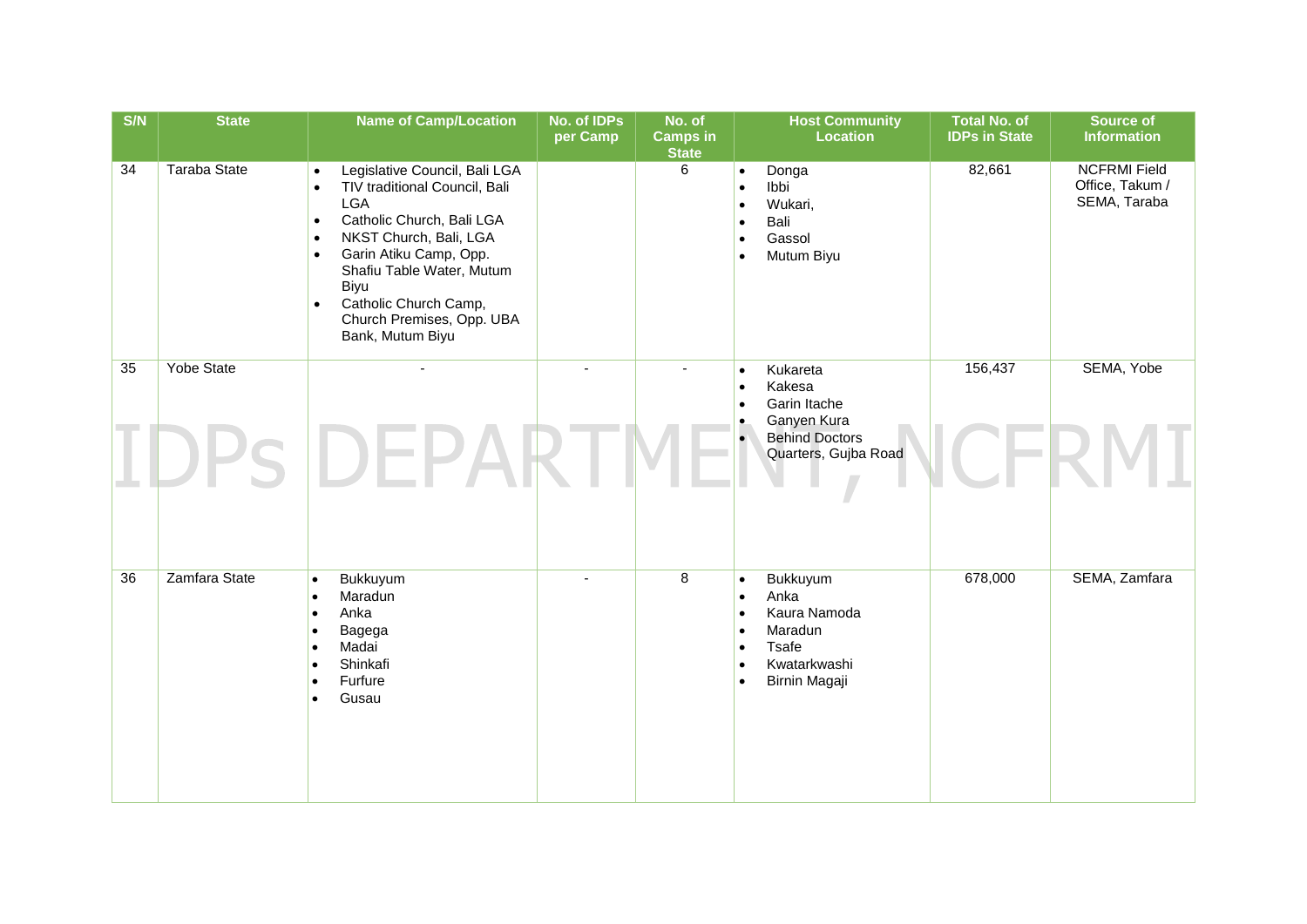| S/N | <b>State</b>        | <b>Name of Camp/Location</b>                                                                                                                                                                                                                                                                                                                               | No. of IDPs<br>per Camp | No. of<br><b>Camps in</b><br><b>State</b> | <b>Host Community</b><br><b>Location</b>                                                                                                                                         | <b>Total No. of</b><br><b>IDPs in State</b> | <b>Source of</b><br><b>Information</b>                 |
|-----|---------------------|------------------------------------------------------------------------------------------------------------------------------------------------------------------------------------------------------------------------------------------------------------------------------------------------------------------------------------------------------------|-------------------------|-------------------------------------------|----------------------------------------------------------------------------------------------------------------------------------------------------------------------------------|---------------------------------------------|--------------------------------------------------------|
| 34  | <b>Taraba State</b> | Legislative Council, Bali LGA<br>$\bullet$<br>TIV traditional Council, Bali<br>$\bullet$<br><b>LGA</b><br>Catholic Church, Bali LGA<br>$\bullet$<br>NKST Church, Bali, LGA<br>$\bullet$<br>Garin Atiku Camp, Opp.<br>$\bullet$<br>Shafiu Table Water, Mutum<br>Biyu<br>Catholic Church Camp,<br>$\bullet$<br>Church Premises, Opp. UBA<br>Bank, Mutum Biyu |                         | 6                                         | Donga<br>$\bullet$<br>Ibbi<br>$\bullet$<br>Wukari,<br>$\bullet$<br>Bali<br>$\bullet$<br>Gassol<br>$\bullet$<br>Mutum Biyu<br>$\bullet$                                           | 82,661                                      | <b>NCFRMI Field</b><br>Office, Takum /<br>SEMA, Taraba |
| 35  | <b>Yobe State</b>   |                                                                                                                                                                                                                                                                                                                                                            |                         |                                           | Kukareta<br>$\bullet$<br>Kakesa<br>$\bullet$<br>Garin Itache<br>$\bullet$<br>Ganyen Kura<br>$\bullet$                                                                            | 156,437                                     | SEMA, Yobe                                             |
|     |                     |                                                                                                                                                                                                                                                                                                                                                            |                         |                                           | <b>Behind Doctors</b><br>$\bullet$<br>Quarters, Gujba Road                                                                                                                       |                                             |                                                        |
| 36  | Zamfara State       | Bukkuyum<br>$\bullet$<br>Maradun<br>Anka<br>Bagega<br>Madai<br>Shinkafi<br>Furfure<br>Gusau                                                                                                                                                                                                                                                                |                         | $\overline{8}$                            | Bukkuyum<br>$\bullet$<br>Anka<br>$\bullet$<br>Kaura Namoda<br>$\bullet$<br>Maradun<br>$\bullet$<br>Tsafe<br>$\bullet$<br>Kwatarkwashi<br>$\bullet$<br>Birnin Magaji<br>$\bullet$ | 678,000                                     | SEMA, Zamfara                                          |